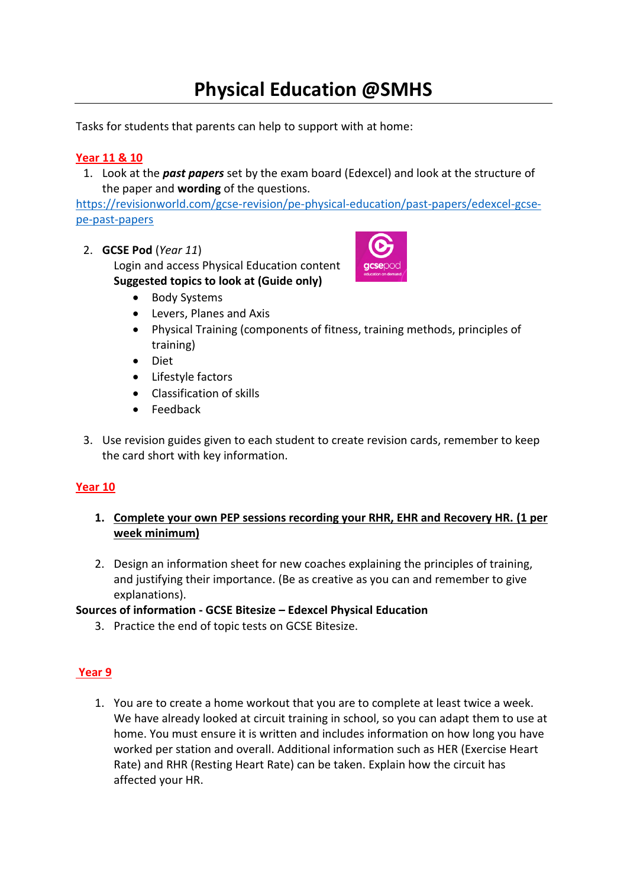# **Physical Education @SMHS**

Tasks for students that parents can help to support with at home:

#### **Year 11 & 10**

1. Look at the *past papers* set by the exam board (Edexcel) and look at the structure of the paper and **wording** of the questions.

[https://revisionworld.com/gcse-revision/pe-physical-education/past-papers/edexcel-gcse](https://revisionworld.com/gcse-revision/pe-physical-education/past-papers/edexcel-gcse-pe-past-papers)[pe-past-papers](https://revisionworld.com/gcse-revision/pe-physical-education/past-papers/edexcel-gcse-pe-past-papers)

2. **GCSE Pod** (*Year 11*)

Login and access Physical Education content **Suggested topics to look at (Guide only)**



- Levers, Planes and Axis
- Physical Training (components of fitness, training methods, principles of training)
- Diet
- Lifestyle factors
- Classification of skills
- Feedback
- 3. Use revision guides given to each student to create revision cards, remember to keep the card short with key information.

#### **Year 10**

- **1. Complete your own PEP sessions recording your RHR, EHR and Recovery HR. (1 per week minimum)**
- 2. Design an information sheet for new coaches explaining the principles of training, and justifying their importance. (Be as creative as you can and remember to give explanations).

#### **Sources of information - GCSE Bitesize – Edexcel Physical Education**

3. Practice the end of topic tests on GCSE Bitesize.

#### **Year 9**

1. You are to create a home workout that you are to complete at least twice a week. We have already looked at circuit training in school, so you can adapt them to use at home. You must ensure it is written and includes information on how long you have worked per station and overall. Additional information such as HER (Exercise Heart Rate) and RHR (Resting Heart Rate) can be taken. Explain how the circuit has affected your HR.